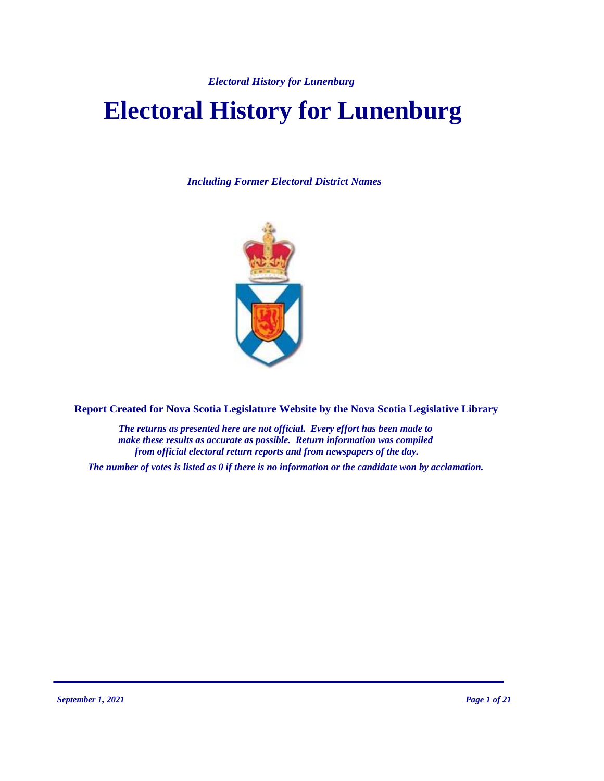# **Electoral History for Lunenburg**

*Including Former Electoral District Names*



**Report Created for Nova Scotia Legislature Website by the Nova Scotia Legislative Library**

*The returns as presented here are not official. Every effort has been made to make these results as accurate as possible. Return information was compiled from official electoral return reports and from newspapers of the day.*

*The number of votes is listed as 0 if there is no information or the candidate won by acclamation.*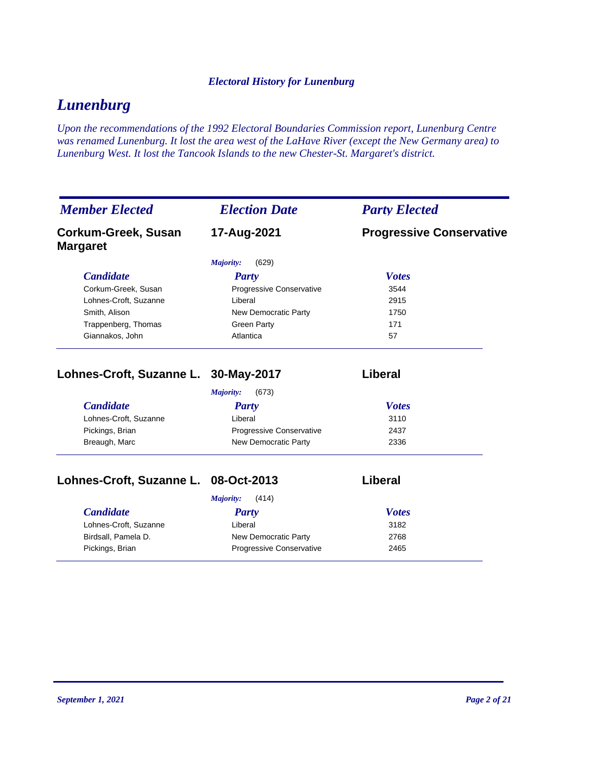# *Lunenburg*

*Upon the recommendations of the 1992 Electoral Boundaries Commission report, Lunenburg Centre was renamed Lunenburg. It lost the area west of the LaHave River (except the New Germany area) to Lunenburg West. It lost the Tancook Islands to the new Chester-St. Margaret's district.*

| <b>Member Elected</b>                  | <b>Election Date</b>     | <b>Party Elected</b>            |  |
|----------------------------------------|--------------------------|---------------------------------|--|
| Corkum-Greek, Susan<br><b>Margaret</b> | 17-Aug-2021              | <b>Progressive Conservative</b> |  |
|                                        | (629)<br>Majority:       |                                 |  |
| <b>Candidate</b>                       | <b>Party</b>             | <b>Votes</b>                    |  |
| Corkum-Greek, Susan                    | Progressive Conservative | 3544                            |  |
| Lohnes-Croft, Suzanne                  | Liberal                  | 2915                            |  |
| Smith, Alison                          | New Democratic Party     | 1750                            |  |
| Trappenberg, Thomas                    | <b>Green Party</b>       | 171                             |  |
| Giannakos, John                        | Atlantica                | 57                              |  |
| Lohnes-Croft, Suzanne L. 30-May-2017   |                          | <b>Liberal</b>                  |  |
|                                        | Majority:<br>(673)       |                                 |  |
| <b>Candidate</b>                       | <b>Party</b>             | <b>Votes</b>                    |  |
| Lohnes-Croft, Suzanne                  | Liberal                  | 3110                            |  |
| Pickings, Brian                        | Progressive Conservative | 2437                            |  |
| Breaugh, Marc                          | New Democratic Party     | 2336                            |  |
| Lohnes-Croft, Suzanne L.               | 08-Oct-2013              | <b>Liberal</b>                  |  |
|                                        | (414)<br>Majority:       |                                 |  |
| <b>Candidate</b>                       | <b>Party</b>             | <b>Votes</b>                    |  |
| Lohnes-Croft, Suzanne                  | Liberal                  | 3182                            |  |
| Birdsall, Pamela D.                    | New Democratic Party     | 2768                            |  |
|                                        |                          |                                 |  |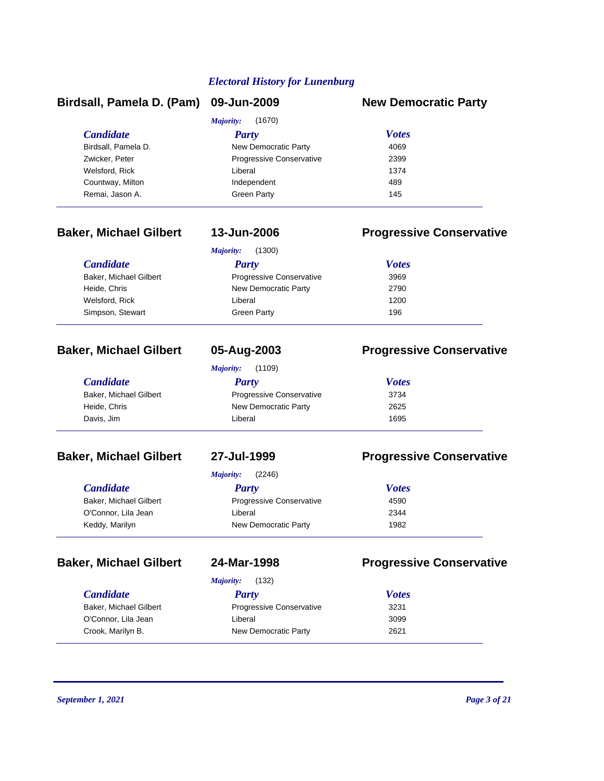| Birdsall, Pamela D. (Pam) 09-Jun-2009 |                          | <b>New Democratic Party</b> |
|---------------------------------------|--------------------------|-----------------------------|
|                                       | (1670)<br>Majority:      |                             |
| <b>Candidate</b>                      | <b>Party</b>             | <b>Votes</b>                |
| Birdsall, Pamela D.                   | New Democratic Party     | 4069                        |
| Zwicker, Peter                        | Progressive Conservative | 2399                        |
| Welsford, Rick                        | Liberal                  | 1374                        |
| Countway, Milton                      | Independent              | 489                         |
| Remai, Jason A.                       | <b>Green Party</b>       | 145                         |

### **Baker, Michael Gilbert 13-Jun-2006 Progressive Conservative**

|                        | (1300)<br>Majority:      |              |  |
|------------------------|--------------------------|--------------|--|
| <b>Candidate</b>       | Party                    | <b>Votes</b> |  |
| Baker, Michael Gilbert | Progressive Conservative | 3969         |  |
| Heide, Chris           | New Democratic Party     | 2790         |  |
| Welsford, Rick         | Liberal                  | 1200         |  |
| Simpson, Stewart       | <b>Green Party</b>       | 196          |  |

| <b>Majority:</b> | (1109) |
|------------------|--------|

# **Baker, Michael Gilbert 05-Aug-2003 Progressive Conservative**

| <i>Candidate</i>       | Party                           | <b>Votes</b> |  |
|------------------------|---------------------------------|--------------|--|
| Baker, Michael Gilbert | <b>Progressive Conservative</b> | 3734         |  |
| Heide, Chris           | New Democratic Party            | 2625         |  |
| Davis, Jim             | Liberal                         | 1695         |  |

### **Baker, Michael Gilbert 27-Jul-1999 Progressive Conservative**

*Majority:* (2246)

| <b>Candidate</b>       | Party                           | <b>Votes</b> |  |
|------------------------|---------------------------------|--------------|--|
| Baker, Michael Gilbert | <b>Progressive Conservative</b> | 4590         |  |
| O'Connor, Lila Jean    | Liberal                         | 2344         |  |
| Keddy, Marilyn         | New Democratic Party            | 1982         |  |

| andidate <sup>.</sup> |  |  |  |
|-----------------------|--|--|--|
|                       |  |  |  |

| 24-MdI - 1990 |  |  |  |
|---------------|--|--|--|
|               |  |  |  |

# **Baker, Michael Gilbert 24-Mar-1998 Progressive Conservative**

|                        | (132)<br>Majority:              |              |  |
|------------------------|---------------------------------|--------------|--|
| <b>Candidate</b>       | Party                           | <b>Votes</b> |  |
| Baker, Michael Gilbert | <b>Progressive Conservative</b> | 3231         |  |
| O'Connor, Lila Jean    | Liberal                         | 3099         |  |
| Crook, Marilyn B.      | New Democratic Party            | 2621         |  |

| Baker, Mic |  |  |
|------------|--|--|
|------------|--|--|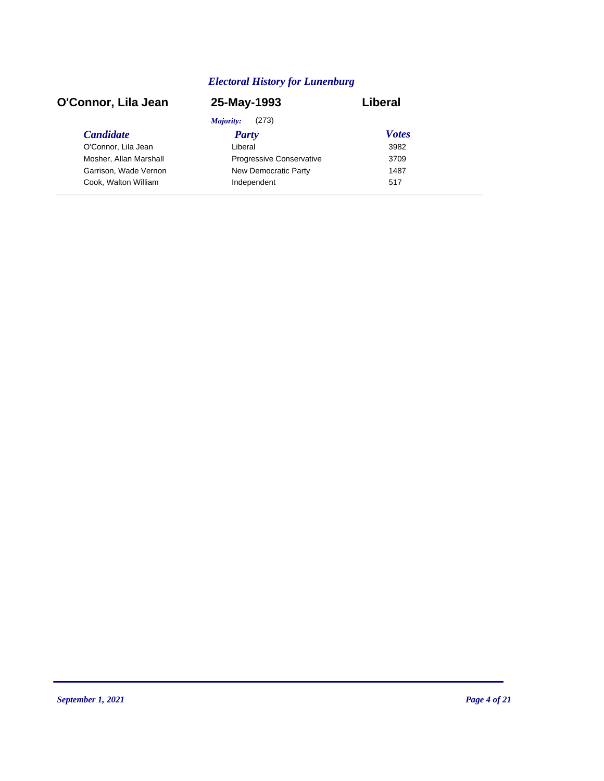| O'Connor, Lila Jean    | 25-May-1993              | Liberal      |  |
|------------------------|--------------------------|--------------|--|
|                        | Majority:<br>(273)       |              |  |
| <b>Candidate</b>       | <b>Party</b>             | <b>Votes</b> |  |
| O'Connor, Lila Jean    | Liberal                  | 3982         |  |
| Mosher, Allan Marshall | Progressive Conservative | 3709         |  |
| Garrison, Wade Vernon  | New Democratic Party     | 1487         |  |
| Cook, Walton William   | Independent              | 517          |  |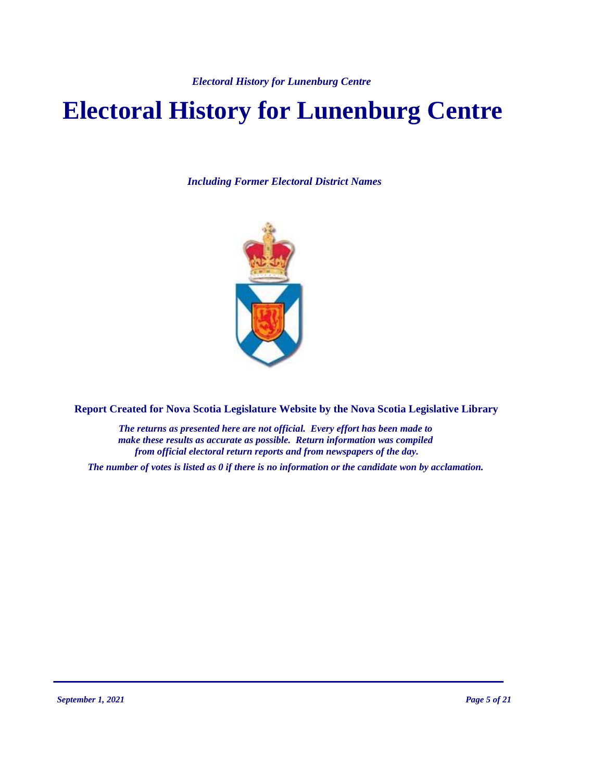# **Electoral History for Lunenburg Centre**

*Including Former Electoral District Names*



**Report Created for Nova Scotia Legislature Website by the Nova Scotia Legislative Library**

*The returns as presented here are not official. Every effort has been made to make these results as accurate as possible. Return information was compiled from official electoral return reports and from newspapers of the day.*

*The number of votes is listed as 0 if there is no information or the candidate won by acclamation.*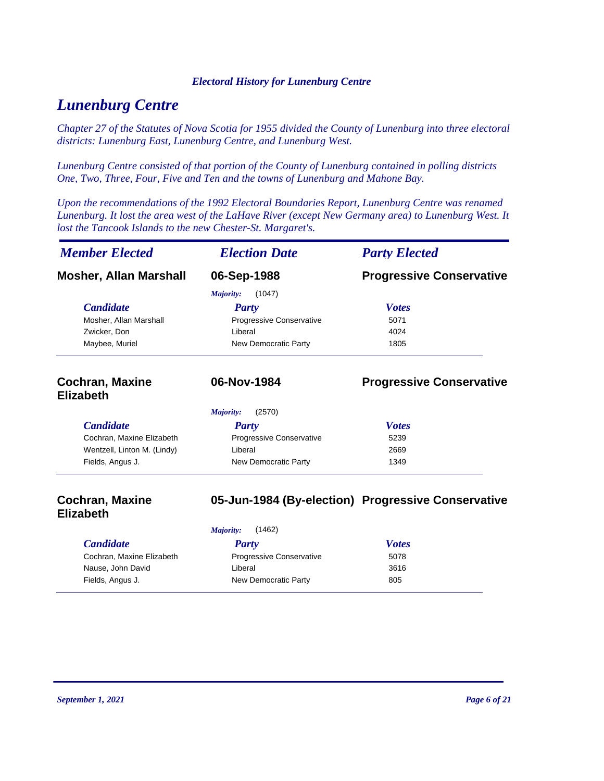# *Lunenburg Centre*

*Chapter 27 of the Statutes of Nova Scotia for 1955 divided the County of Lunenburg into three electoral districts: Lunenburg East, Lunenburg Centre, and Lunenburg West.*

*Lunenburg Centre consisted of that portion of the County of Lunenburg contained in polling districts One, Two, Three, Four, Five and Ten and the towns of Lunenburg and Mahone Bay.*

*Upon the recommendations of the 1992 Electoral Boundaries Report, Lunenburg Centre was renamed Lunenburg. It lost the area west of the LaHave River (except New Germany area) to Lunenburg West. It lost the Tancook Islands to the new Chester-St. Margaret's.*

| <b>Member Elected</b><br><b>Election Date</b> |                          | <b>Party Elected</b>            |
|-----------------------------------------------|--------------------------|---------------------------------|
| <b>Mosher, Allan Marshall</b>                 | 06-Sep-1988              | <b>Progressive Conservative</b> |
|                                               | (1047)<br>Majority:      |                                 |
| <b>Candidate</b>                              | <b>Party</b>             | <b>Votes</b>                    |
| Mosher, Allan Marshall                        | Progressive Conservative | 5071                            |
| Zwicker, Don                                  | Liberal                  | 4024                            |
| Maybee, Muriel                                | New Democratic Party     | 1805                            |
| <b>Cochran, Maxine</b><br><b>Elizabeth</b>    | 06-Nov-1984              | <b>Progressive Conservative</b> |
|                                               | (2570)<br>Majority:      |                                 |
| <b>Candidate</b>                              | Party                    | <b>Votes</b>                    |
| Cochran, Maxine Elizabeth                     | Progressive Conservative | 5239                            |
|                                               | Liberal                  | 2669                            |
| Wentzell, Linton M. (Lindy)                   |                          |                                 |

### **Cochran, Maxine Elizabeth 05-Jun-1984 (By-election) Progressive Conservative**

|                           | Majority:                       | (1462)       |  |
|---------------------------|---------------------------------|--------------|--|
| <i>Candidate</i>          | Party                           | <b>Votes</b> |  |
| Cochran, Maxine Elizabeth | <b>Progressive Conservative</b> | 5078         |  |
| Nause, John David         | Liberal                         | 3616         |  |
| Fields, Angus J.          | New Democratic Party            | 805          |  |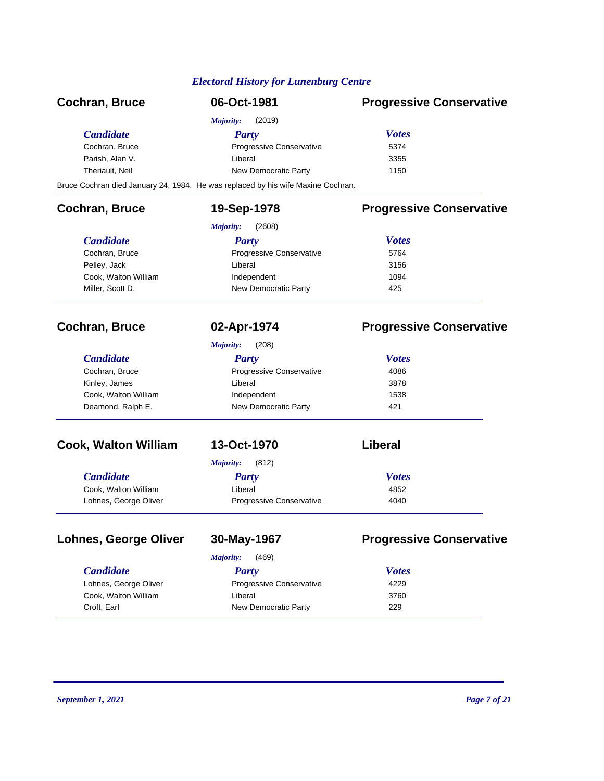| <b>Cochran, Bruce</b>        | 06-Oct-1981                                                                      | <b>Progressive Conservative</b> |
|------------------------------|----------------------------------------------------------------------------------|---------------------------------|
|                              | <b>Majority:</b><br>(2019)                                                       |                                 |
| <b>Candidate</b>             | <b>Party</b>                                                                     | <b>Votes</b>                    |
| Cochran, Bruce               | Progressive Conservative                                                         | 5374                            |
| Parish, Alan V.              | Liberal                                                                          | 3355                            |
| Theriault, Neil              | New Democratic Party                                                             | 1150                            |
|                              | Bruce Cochran died January 24, 1984. He was replaced by his wife Maxine Cochran. |                                 |
| <b>Cochran, Bruce</b>        | 19-Sep-1978                                                                      | <b>Progressive Conservative</b> |
|                              | <b>Majority:</b><br>(2608)                                                       |                                 |
| <b>Candidate</b>             | <b>Party</b>                                                                     | <b>Votes</b>                    |
| Cochran, Bruce               | Progressive Conservative                                                         | 5764                            |
| Pelley, Jack                 | Liberal                                                                          | 3156                            |
| Cook, Walton William         | Independent                                                                      | 1094                            |
| Miller, Scott D.             | New Democratic Party                                                             | 425                             |
| <b>Cochran, Bruce</b>        | 02-Apr-1974                                                                      | <b>Progressive Conservative</b> |
|                              | (208)<br>Majority:                                                               |                                 |
| <b>Candidate</b>             | <b>Party</b>                                                                     | <b>Votes</b>                    |
| Cochran, Bruce               | Progressive Conservative                                                         | 4086                            |
| Kinley, James                | Liberal                                                                          | 3878                            |
| Cook, Walton William         | Independent                                                                      | 1538                            |
| Deamond, Ralph E.            | New Democratic Party                                                             | 421                             |
| <b>Cook, Walton William</b>  | 13-Oct-1970                                                                      | Liberal                         |
|                              | (812)<br><b>Majority:</b>                                                        |                                 |
| <b>Candidate</b>             | <b>Party</b>                                                                     | <b>Votes</b>                    |
| Cook, Walton William         | Liberal                                                                          | 4852                            |
| Lohnes, George Oliver        | Progressive Conservative                                                         | 4040                            |
| <b>Lohnes, George Oliver</b> | 30-May-1967                                                                      | <b>Progressive Conservative</b> |
|                              | (469)<br>Majority:                                                               |                                 |
| <b>Candidate</b>             | <b>Party</b>                                                                     | <b>Votes</b>                    |
| Lohnes, George Oliver        | Progressive Conservative                                                         | 4229                            |
| Cook, Walton William         | Liberal                                                                          | 3760                            |
| Croft, Earl                  | New Democratic Party                                                             | 229                             |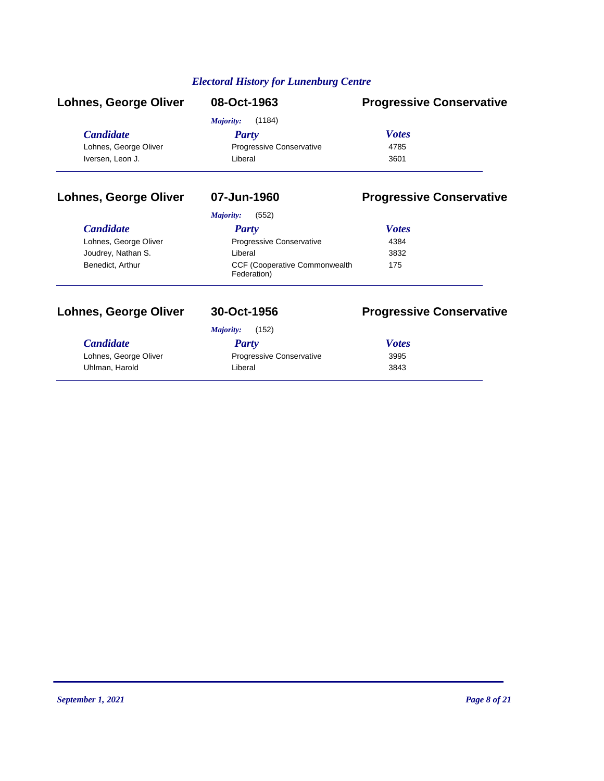| <b>Lohnes, George Oliver</b> | 08-Oct-1963                     | <b>Progressive Conservative</b> |
|------------------------------|---------------------------------|---------------------------------|
|                              | (1184)<br>Majority:             |                                 |
| <i>Candidate</i>             | <b>Party</b>                    | <b>Votes</b>                    |
| Lohnes, George Oliver        | <b>Progressive Conservative</b> | 4785                            |
| Iversen, Leon J.             | Liberal                         | 3601                            |

# **Lohnes, George Oliver 07-Jun-1960 Progressive Conservative**

### *Majority:* (552)

| Party                                                | <b>Votes</b> |  |
|------------------------------------------------------|--------------|--|
| <b>Progressive Conservative</b>                      | 4384         |  |
| Liberal                                              | 3832         |  |
| <b>CCF (Cooperative Commonwealth)</b><br>Federation) | 175          |  |
|                                                      |              |  |

# **Lohnes, George Oliver 30-Oct-1956 Progressive Conservative**

# *Candidate Party Votes Majority:* (152) Lohnes, George Oliver **Progressive Conservative** 3995 Uhlman, Harold **1988** Contract Liberal 2843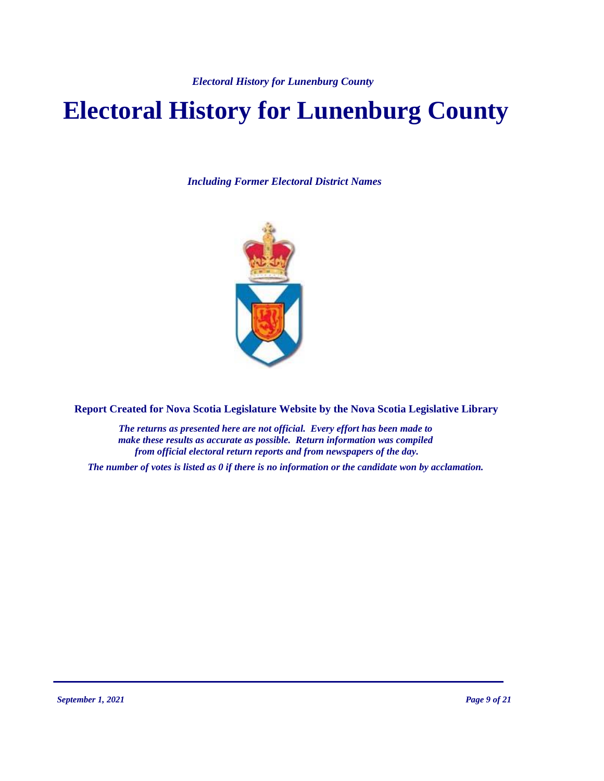# **Electoral History for Lunenburg County**

*Including Former Electoral District Names*



**Report Created for Nova Scotia Legislature Website by the Nova Scotia Legislative Library**

*The returns as presented here are not official. Every effort has been made to make these results as accurate as possible. Return information was compiled from official electoral return reports and from newspapers of the day.*

*The number of votes is listed as 0 if there is no information or the candidate won by acclamation.*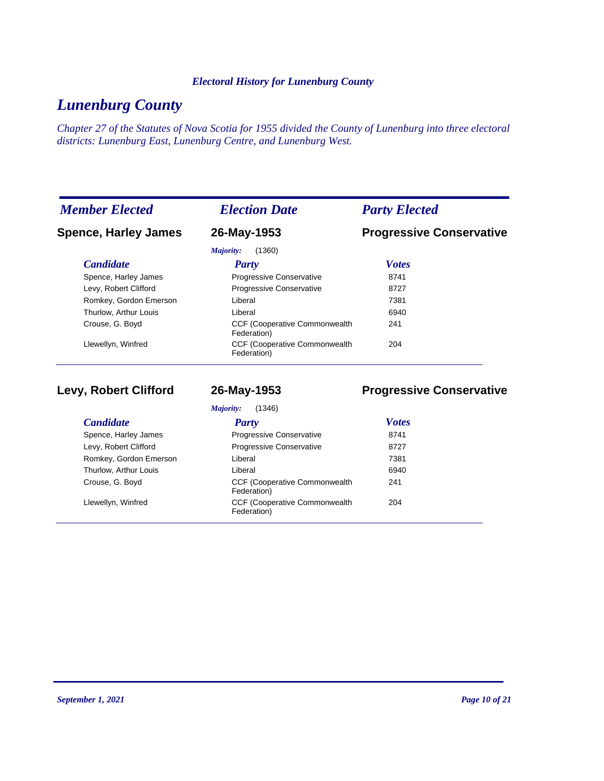# *Lunenburg County*

*Chapter 27 of the Statutes of Nova Scotia for 1955 divided the County of Lunenburg into three electoral districts: Lunenburg East, Lunenburg Centre, and Lunenburg West.*

| <b>Member Elected</b>       | <b>Election Date</b>                                 | <b>Party Elected</b>            |
|-----------------------------|------------------------------------------------------|---------------------------------|
| <b>Spence, Harley James</b> | 26-May-1953                                          | <b>Progressive Conservative</b> |
|                             | (1360)<br>Majority:                                  |                                 |
| <b>Candidate</b>            | Party                                                | <b>Votes</b>                    |
| Spence, Harley James        | Progressive Conservative                             | 8741                            |
| Levy, Robert Clifford       | Progressive Conservative                             | 8727                            |
| Romkey, Gordon Emerson      | Liberal                                              | 7381                            |
| Thurlow, Arthur Louis       | Liberal                                              | 6940                            |
| Crouse, G. Boyd             | <b>CCF (Cooperative Commonwealth)</b><br>Federation) | 241                             |
| Llewellyn, Winfred          | <b>CCF (Cooperative Commonwealth</b><br>Federation)  | 204                             |

**Levy, Robert Clifford 26-May-1953 Progressive Conservative**

| (1346)<br>Majority:    |                                                      |              |
|------------------------|------------------------------------------------------|--------------|
| <b>Candidate</b>       | Party                                                | <b>Votes</b> |
| Spence, Harley James   | Progressive Conservative                             | 8741         |
| Levy, Robert Clifford  | <b>Progressive Conservative</b>                      | 8727         |
| Romkey, Gordon Emerson | Liberal                                              | 7381         |
| Thurlow, Arthur Louis  | Liberal                                              | 6940         |
| Crouse, G. Boyd        | <b>CCF (Cooperative Commonwealth)</b><br>Federation) | 241          |
| Llewellyn, Winfred     | <b>CCF (Cooperative Commonwealth)</b><br>Federation) | 204          |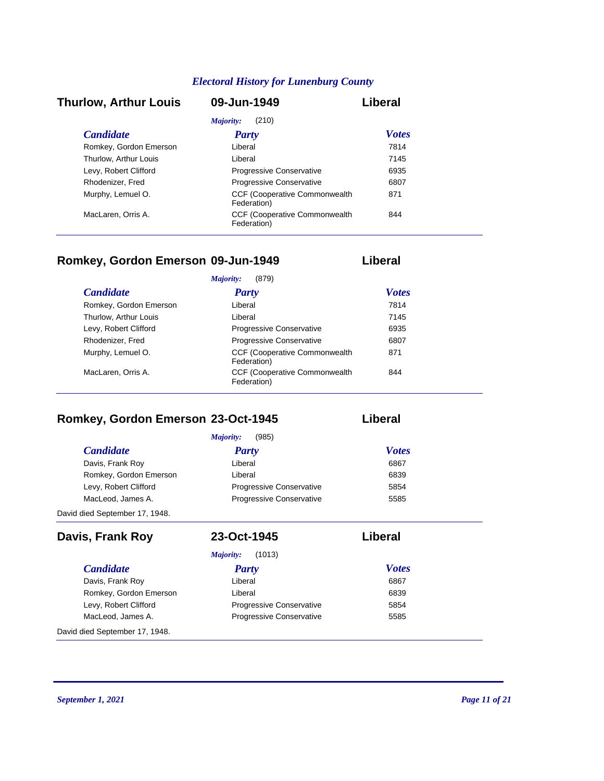### *Candidate Party Votes* **Thurlow, Arthur Louis 09-Jun-1949 Liberal** *Majority:* (210) Romkey, Gordon Emerson Liberal Liberal 27814 Thurlow, Arthur Louis **Liberal** Liberal **1145** Levy, Robert Clifford **Progressive Conservative** 6935 Rhodenizer, Fred Progressive Conservative 6807 CCF (Cooperative Commonwealth Murphy, Lemuel O. 871 Federation) CCF (Cooperative Commonwealth MacLaren, Orris A. 844 Federation)

### **Romkey, Gordon Emerson 09-Jun-1949 Liberal**

|                        | (879)<br>Majority:                                   |              |
|------------------------|------------------------------------------------------|--------------|
| <b>Candidate</b>       | <b>Party</b>                                         | <b>Votes</b> |
| Romkey, Gordon Emerson | Liberal                                              | 7814         |
| Thurlow, Arthur Louis  | Liberal                                              | 7145         |
| Levy, Robert Clifford  | Progressive Conservative                             | 6935         |
| Rhodenizer, Fred       | <b>Progressive Conservative</b>                      | 6807         |
| Murphy, Lemuel O.      | <b>CCF (Cooperative Commonwealth)</b><br>Federation) | 871          |
| MacLaren, Orris A.     | <b>CCF (Cooperative Commonwealth)</b><br>Federation) | 844          |

# **Romkey, Gordon Emerson 23-Oct-1945 Liberal**

*Candidate Party Votes Majority:* (985) Davis, Frank Roy **Contract Executive Liberal** Contract Contract Contract Contract Contract Contract Contract Contract Contract Contract Contract Contract Contract Contract Contract Contract Contract Contract Contract Contr Romkey, Gordon Emerson **Liberal** Liberal **CONFERGION** CONSERVENT CONSERVENT CONSERVENT CONSERVENT CONSERVENT CONSERVENT CONSERVENT CONSERVENT CONSERVENT CONSERVENT CONSERVENT CONSERVENT CONSERVENT CONSERVENT CONSERVENT CON Levy, Robert Clifford **Progressive Conservative** 5854 MacLeod, James A. **Progressive Conservative** 5585 David died September 17, 1948.

| Davis, Frank Roy               | 23-Oct-1945                     | Liberal      |
|--------------------------------|---------------------------------|--------------|
|                                | (1013)<br>Majority:             |              |
| <b>Candidate</b>               | Party                           | <b>Votes</b> |
| Davis, Frank Roy               | Liberal                         | 6867         |
| Romkey, Gordon Emerson         | Liberal                         | 6839         |
| Levy, Robert Clifford          | <b>Progressive Conservative</b> | 5854         |
| MacLeod, James A.              | <b>Progressive Conservative</b> | 5585         |
| David died September 17, 1948. |                                 |              |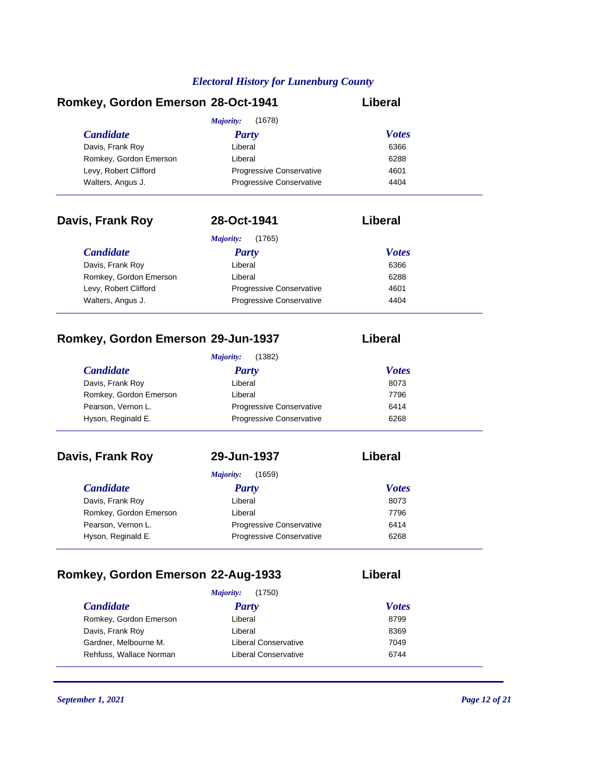# **Romkey, Gordon Emerson 28-Oct-1941 Liberal**

|                        | (1678)<br>Majority:             |              |
|------------------------|---------------------------------|--------------|
| <b>Candidate</b>       | <b>Party</b>                    | <b>Votes</b> |
| Davis, Frank Roy       | Liberal                         | 6366         |
| Romkey, Gordon Emerson | Liberal                         | 6288         |
| Levy, Robert Clifford  | Progressive Conservative        | 4601         |
| Walters, Angus J.      | <b>Progressive Conservative</b> | 4404         |

| Davis, Frank Roy       | 28-Oct-1941                     | Liberal      |  |
|------------------------|---------------------------------|--------------|--|
|                        | (1765)<br>Majority:             |              |  |
| <b>Candidate</b>       | <b>Party</b>                    | <b>Votes</b> |  |
| Davis, Frank Roy       | Liberal                         | 6366         |  |
| Romkey, Gordon Emerson | Liberal                         | 6288         |  |
| Levy, Robert Clifford  | <b>Progressive Conservative</b> | 4601         |  |
| Walters, Angus J.      | <b>Progressive Conservative</b> | 4404         |  |
|                        |                                 |              |  |

# **Romkey, Gordon Emerson 29-Jun-1937 Liberal**

|                        | (1382)<br>Majority:             |              |  |
|------------------------|---------------------------------|--------------|--|
| <i>Candidate</i>       | Party                           | <b>Votes</b> |  |
| Davis, Frank Roy       | Liberal                         | 8073         |  |
| Romkey, Gordon Emerson | Liberal                         | 7796         |  |
| Pearson, Vernon L.     | <b>Progressive Conservative</b> | 6414         |  |
| Hyson, Reginald E.     | Progressive Conservative        | 6268         |  |

# **Davis, Frank Roy 29-Jun-1937 Liberal**

| (1659)<br>Majority:    |                                 |              |
|------------------------|---------------------------------|--------------|
| <b>Candidate</b>       | <b>Party</b>                    | <b>Votes</b> |
| Davis, Frank Roy       | Liberal                         | 8073         |
| Romkey, Gordon Emerson | Liberal                         | 7796         |
| Pearson, Vernon L.     | <b>Progressive Conservative</b> | 6414         |
| Hyson, Reginald E.     | Progressive Conservative        | 6268         |

# **Romkey, Gordon Emerson 22-Aug-1933 Liberal**

|                         | (1750)<br>Majority:  |              |
|-------------------------|----------------------|--------------|
| <i>Candidate</i>        | <b>Party</b>         | <b>Votes</b> |
| Romkey, Gordon Emerson  | Liberal              | 8799         |
| Davis, Frank Roy        | Liberal              | 8369         |
| Gardner, Melbourne M.   | Liberal Conservative | 7049         |
| Rehfuss, Wallace Norman | Liberal Conservative | 6744         |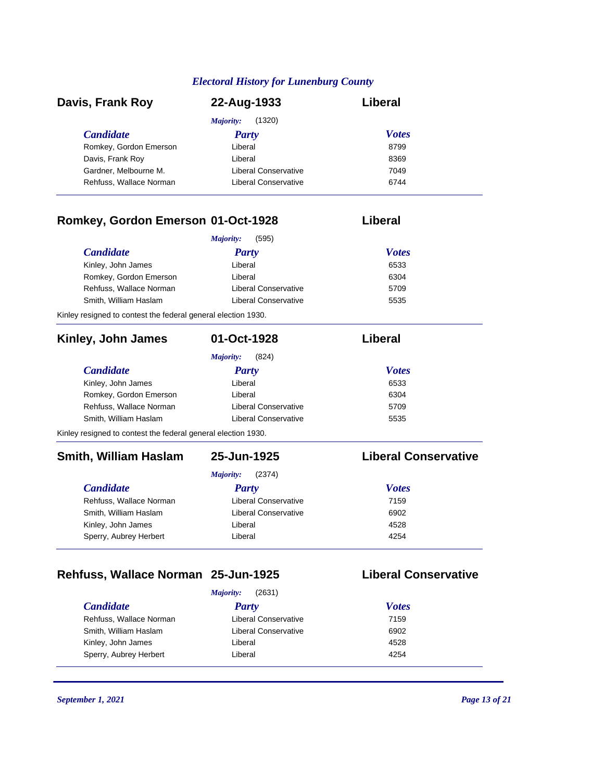| Davis, Frank Roy        | 22-Aug-1933          | Liberal      |  |
|-------------------------|----------------------|--------------|--|
|                         | (1320)<br>Majority:  |              |  |
| <b>Candidate</b>        | Party                | <b>Votes</b> |  |
| Romkey, Gordon Emerson  | Liberal              | 8799         |  |
| Davis, Frank Roy        | Liberal              | 8369         |  |
| Gardner, Melbourne M.   | Liberal Conservative | 7049         |  |
| Rehfuss, Wallace Norman | Liberal Conservative | 6744         |  |

### **Romkey, Gordon Emerson 01-Oct-1928 Liberal**

### *Candidate Party Votes Majority:* (595) Kinley, John James **Example 2018** Liberal **COVID-100** Liberal COVID-100 COVID-100 COVID-100 COVID-100 COVID-100 Romkey, Gordon Emerson **Liberal** Liberal **6304** Rehfuss, Wallace Norman Liberal Conservative 5709 Smith, William Haslam Liberal Conservative 5535

Kinley resigned to contest the federal general election 1930.

| Kinley, John James                                            | 01-Oct-1928          | Liberal                     |
|---------------------------------------------------------------|----------------------|-----------------------------|
|                                                               | Majority:<br>(824)   |                             |
| <b>Candidate</b>                                              | <b>Party</b>         | <b>Votes</b>                |
| Kinley, John James                                            | Liberal              | 6533                        |
| Romkey, Gordon Emerson                                        | Liberal              | 6304                        |
| Rehfuss, Wallace Norman                                       | Liberal Conservative | 5709                        |
| Smith, William Haslam                                         | Liberal Conservative | 5535                        |
| Kinley resigned to contest the federal general election 1930. |                      |                             |
| <b>Smith, William Haslam</b>                                  | 25-Jun-1925          | <b>Liberal Conservative</b> |

*Majority:* (2374)

| Liberal Conservative | 7159 |
|----------------------|------|
| Liberal Conservative | 6902 |
| Liberal              | 4528 |
| Liberal              | 4254 |
|                      |      |

# **Rehfuss, Wallace Norman 25-Jun-1925 Liberal Conservative**

### *Candidate Party Votes Majority:* (2631) Rehfuss, Wallace Norman **Liberal Conservative** 7159 Smith, William Haslam Liberal Conservative 6902 Kinley, John James **Example 2018** Liberal **Liberal** 4528 Sperry, Aubrey Herbert **Liberal** Liberal **1254**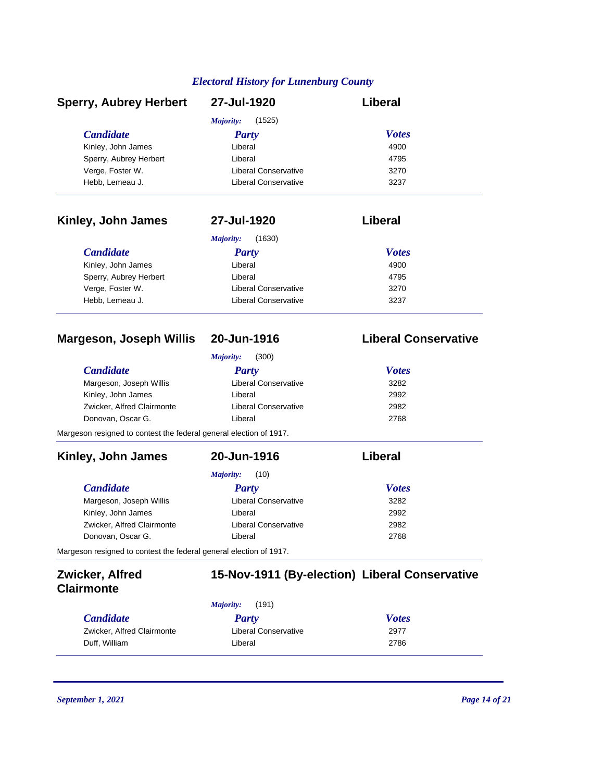| <b>Sperry, Aubrey Herbert</b>  | 27-Jul-1920                 | Liberal                     |
|--------------------------------|-----------------------------|-----------------------------|
|                                | (1525)<br>Majority:         |                             |
| <b>Candidate</b>               | <b>Party</b>                | <b>Votes</b>                |
| Kinley, John James             | Liberal                     | 4900                        |
| Sperry, Aubrey Herbert         | Liberal                     | 4795                        |
| Verge, Foster W.               | Liberal Conservative        | 3270                        |
| Hebb, Lemeau J.                | <b>Liberal Conservative</b> | 3237                        |
| Kinley, John James             | 27-Jul-1920                 | Liberal                     |
|                                | (1630)<br>Majority:         |                             |
| <b>Candidate</b>               | Party                       | <b>Votes</b>                |
| Kinley, John James             | Liberal                     | 4900                        |
| Sperry, Aubrey Herbert         | Liberal                     | 4795                        |
| Verge, Foster W.               | <b>Liberal Conservative</b> | 3270                        |
| Hebb, Lemeau J.                | Liberal Conservative        | 3237                        |
|                                |                             |                             |
| <b>Margeson, Joseph Willis</b> | 20-Jun-1916                 | <b>Liberal Conservative</b> |

| (300)<br>Majority:                                                 |                             |              |  |
|--------------------------------------------------------------------|-----------------------------|--------------|--|
| <b>Candidate</b>                                                   | <b>Party</b>                | <b>Votes</b> |  |
| Margeson, Joseph Willis                                            | <b>Liberal Conservative</b> | 3282         |  |
| Kinley, John James                                                 | Liberal                     | 2992         |  |
| Zwicker, Alfred Clairmonte                                         | <b>Liberal Conservative</b> | 2982         |  |
| Donovan, Oscar G.                                                  | Liberal                     | 2768         |  |
| Margeson resigned to contest the federal general election of 1917. |                             |              |  |

## *Candidate Party Votes* **Kinley, John James 20-Jun-1916 Liberal** *Majority:* (10) Margeson, Joseph Willis **Margeson, Joseph Willis** Liberal Conservative **3282** Kinley, John James **Liberal** Liberal 2992 Zwicker, Alfred Clairmonte Liberal Conservative 2982 Donovan, Oscar G. Christian Liberal Christian Liberal 2768 Margeson resigned to contest the federal general election of 1917.

| Zwicker, Alfred<br><b>Clairmonte</b> |                    | 15-Nov-1911 (By-election) Liberal Conservative |  |
|--------------------------------------|--------------------|------------------------------------------------|--|
|                                      | (191)<br>Maiority: |                                                |  |
| <i>Candidate</i>                     | Party              | <b>Votes</b>                                   |  |

| <i><b>Candidate</b></i>    | Party                | <b>Votes</b> |  |
|----------------------------|----------------------|--------------|--|
| Zwicker, Alfred Clairmonte | Liberal Conservative | 2977         |  |
| Duff. William              | Liberal              | 2786         |  |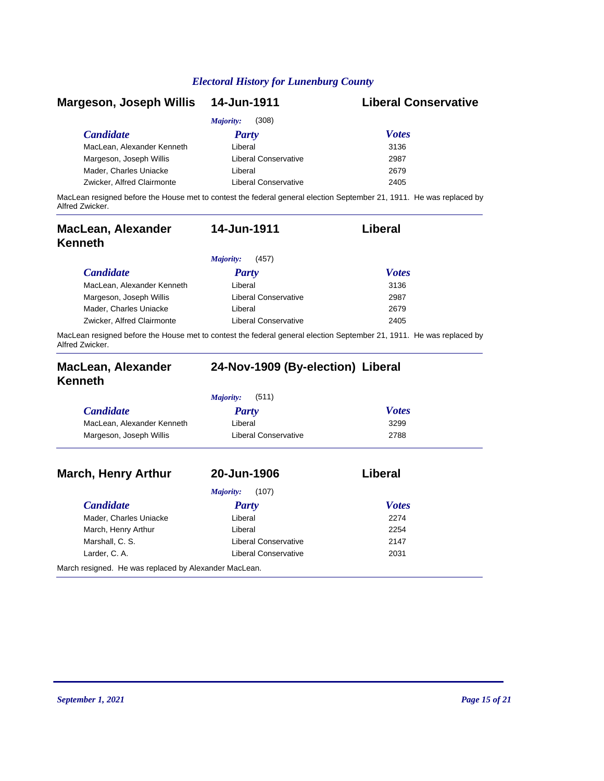| Margeson, Joseph Willis    | 14-Jun-1911                 | <b>Liberal Conservative</b>                                                                                          |
|----------------------------|-----------------------------|----------------------------------------------------------------------------------------------------------------------|
|                            | (308)<br>Majority:          |                                                                                                                      |
| <b>Candidate</b>           | Party                       | <b>Votes</b>                                                                                                         |
| MacLean, Alexander Kenneth | Liberal                     | 3136                                                                                                                 |
| Margeson, Joseph Willis    | <b>Liberal Conservative</b> | 2987                                                                                                                 |
| Mader, Charles Uniacke     | Liberal                     | 2679                                                                                                                 |
| Zwicker, Alfred Clairmonte | <b>Liberal Conservative</b> | 2405                                                                                                                 |
| Alfred Zwicker.            |                             | MacLean resigned before the House met to contest the federal general election September 21, 1911. He was replaced by |

| <b>MacLean, Alexander</b><br>Kenneth | 14-Jun-1911          | Liberal      |  |
|--------------------------------------|----------------------|--------------|--|
|                                      | (457)<br>Majority:   |              |  |
| <b>Candidate</b>                     | <b>Party</b>         | <b>Votes</b> |  |
| MacLean, Alexander Kenneth           | Liberal              | 3136         |  |
| Margeson, Joseph Willis              | Liberal Conservative | 2987         |  |
| Mader, Charles Uniacke               | Liberal              | 2679         |  |
| Zwicker, Alfred Clairmonte           | Liberal Conservative | 2405         |  |

MacLean resigned before the House met to contest the federal general election September 21, 1911. He was replaced by Alfred Zwicker.

| MacLean, Alexander<br><b>Kenneth</b> | 24-Nov-1909 (By-election) Liberal |              |  |
|--------------------------------------|-----------------------------------|--------------|--|
|                                      | Majority:<br>(511)                |              |  |
| <b>Candidate</b>                     | Party                             | <b>Votes</b> |  |
| MacLean, Alexander Kenneth           | Liberal                           | 3299         |  |
| Margeson, Joseph Willis              | Liberal Conservative              | 2788         |  |
| <b>March, Henry Arthur</b>           | 20-Jun-1906                       | Liberal      |  |
|                                      | Majority:<br>(107)                |              |  |
| <b>Candidate</b>                     | Party                             | <b>Votes</b> |  |
| Mader, Charles Uniacke               | Liberal                           | 2274         |  |
| March, Henry Arthur                  | Liberal                           | 2254         |  |

Marshall, C. S. Charles Conservative 2147 Larder, C. A. 2031

March resigned. He was replaced by Alexander MacLean.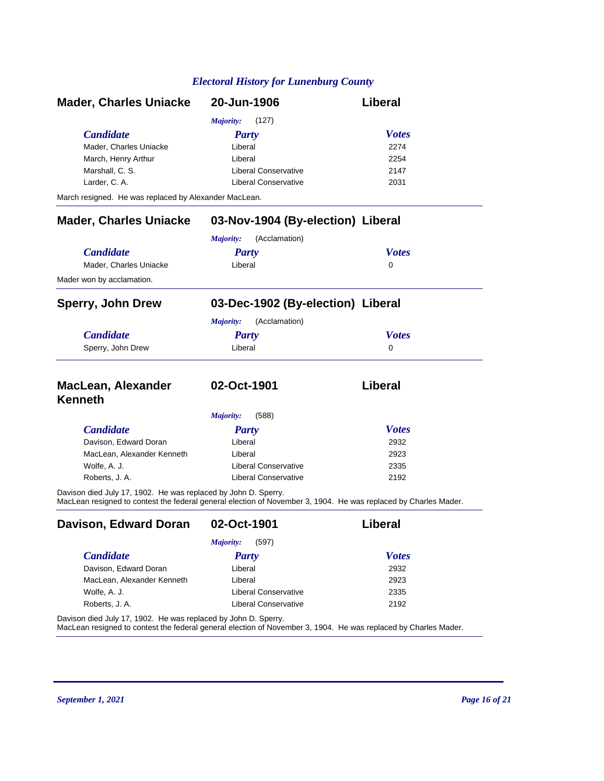| <b>Mader, Charles Uniacke</b>                                  | 20-Jun-1906                                                                                                     | <b>Liberal</b> |
|----------------------------------------------------------------|-----------------------------------------------------------------------------------------------------------------|----------------|
|                                                                | Majority:<br>(127)                                                                                              |                |
| <b>Candidate</b>                                               | Party                                                                                                           | <b>Votes</b>   |
| Mader, Charles Uniacke                                         | Liberal                                                                                                         | 2274           |
| March, Henry Arthur                                            | Liberal                                                                                                         | 2254           |
| Marshall, C. S.                                                | Liberal Conservative                                                                                            | 2147           |
| Larder, C. A.                                                  | <b>Liberal Conservative</b>                                                                                     | 2031           |
| March resigned. He was replaced by Alexander MacLean.          |                                                                                                                 |                |
| <b>Mader, Charles Uniacke</b>                                  | 03-Nov-1904 (By-election) Liberal                                                                               |                |
|                                                                | Majority:<br>(Acclamation)                                                                                      |                |
| <b>Candidate</b>                                               | <b>Party</b>                                                                                                    | <b>Votes</b>   |
| Mader, Charles Uniacke                                         | Liberal                                                                                                         | $\mathbf{0}$   |
| Mader won by acclamation.                                      |                                                                                                                 |                |
| <b>Sperry, John Drew</b>                                       | 03-Dec-1902 (By-election) Liberal                                                                               |                |
|                                                                | (Acclamation)<br>Majority:                                                                                      |                |
| <b>Candidate</b>                                               | <b>Party</b>                                                                                                    | <b>Votes</b>   |
| Sperry, John Drew                                              | Liberal                                                                                                         | $\Omega$       |
| <b>MacLean, Alexander</b>                                      | 02-Oct-1901                                                                                                     | Liberal        |
| <b>Kenneth</b>                                                 |                                                                                                                 |                |
|                                                                | <b>Majority:</b><br>(588)                                                                                       |                |
| <b>Candidate</b>                                               | <b>Party</b>                                                                                                    | <b>Votes</b>   |
| Davison, Edward Doran                                          | Liberal                                                                                                         | 2932           |
| MacLean, Alexander Kenneth                                     | Liberal                                                                                                         | 2923           |
| Wolfe, A. J.                                                   | <b>Liberal Conservative</b>                                                                                     | 2335           |
| Roberts, J. A.                                                 | <b>Liberal Conservative</b>                                                                                     | 2192           |
| Davison died July 17, 1902. He was replaced by John D. Sperry. | MacLean resigned to contest the federal general election of November 3, 1904. He was replaced by Charles Mader. |                |
| Davison, Edward Doran                                          | 02-Oct-1901                                                                                                     | Liberal        |
|                                                                | (597)<br><b>Majority:</b>                                                                                       |                |
| <b>Candidate</b>                                               | <b>Party</b>                                                                                                    | <b>Votes</b>   |
| Davison, Edward Doran                                          | Liberal                                                                                                         | 2932           |
| MacLean, Alexander Kenneth                                     | Liberal                                                                                                         | 2923           |
| Wolfe, A. J.                                                   | <b>Liberal Conservative</b>                                                                                     | 2335           |

Davison died July 17, 1902. He was replaced by John D. Sperry.

MacLean resigned to contest the federal general election of November 3, 1904. He was replaced by Charles Mader.

Roberts, J. A. 2192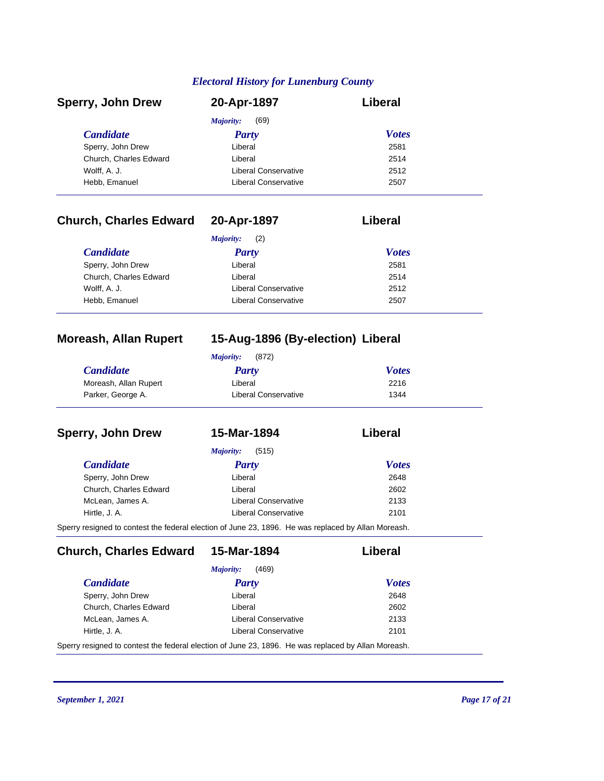| <b>Sperry, John Drew</b> | 20-Apr-1897          | Liberal      |  |
|--------------------------|----------------------|--------------|--|
|                          | (69)<br>Majority:    |              |  |
| <b>Candidate</b>         | Party                | <b>Votes</b> |  |
| Sperry, John Drew        | Liberal              | 2581         |  |
| Church, Charles Edward   | Liberal              | 2514         |  |
| Wolff, A. J.             | Liberal Conservative | 2512         |  |
| Hebb, Emanuel            | Liberal Conservative | 2507         |  |

# **Church, Charles Edward 20-Apr-1897 Liberal**

|                        | (2)<br>Majority:            |              |
|------------------------|-----------------------------|--------------|
| <i>Candidate</i>       | Party                       | <b>Votes</b> |
| Sperry, John Drew      | Liberal                     | 2581         |
| Church, Charles Edward | Liberal                     | 2514         |
| Wolff, A. J.           | <b>Liberal Conservative</b> | 2512         |
| Hebb, Emanuel          | <b>Liberal Conservative</b> | 2507         |

# **Moreash, Allan Rupert 15-Aug-1896 (By-election) Liberal**

| (872)<br>Maiority:    |                      |              |
|-----------------------|----------------------|--------------|
| <b>Candidate</b>      | <b>Party</b>         | <b>Votes</b> |
| Moreash, Allan Rupert | Liberal              | 2216         |
| Parker, George A.     | Liberal Conservative | 1344         |

| <b>Sperry, John Drew</b> | 15-Mar-1894                                                                                        | Liberal      |
|--------------------------|----------------------------------------------------------------------------------------------------|--------------|
|                          | (515)<br><i>Majority:</i>                                                                          |              |
| <b>Candidate</b>         | <b>Party</b>                                                                                       | <b>Votes</b> |
| Sperry, John Drew        | Liberal                                                                                            | 2648         |
| Church, Charles Edward   | Liberal                                                                                            | 2602         |
| McLean, James A.         | <b>Liberal Conservative</b>                                                                        | 2133         |
| Hirtle, J. A.            | Liberal Conservative                                                                               | 2101         |
|                          | Sperry resigned to contest the federal election of June 23, 1896. He was replaced by Allan Moreash |              |

Sperry resigned to contest the federal election of June 23, 1896. He was replaced by Allan Moreash.

**Church, Charles Edward 15-Mar-1894 Liberal**

|                        | (469)<br><i>Majority:</i> |              |
|------------------------|---------------------------|--------------|
| <i>Candidate</i>       | <b>Party</b>              | <b>Votes</b> |
| Sperry, John Drew      | Liberal                   | 2648         |
| Church, Charles Edward | I iberal                  | 2602         |
| McLean, James A.       | Liberal Conservative      | 2133         |
| Hirtle, J. A.          | Liberal Conservative      | 2101         |

Sperry resigned to contest the federal election of June 23, 1896. He was replaced by Allan Moreash.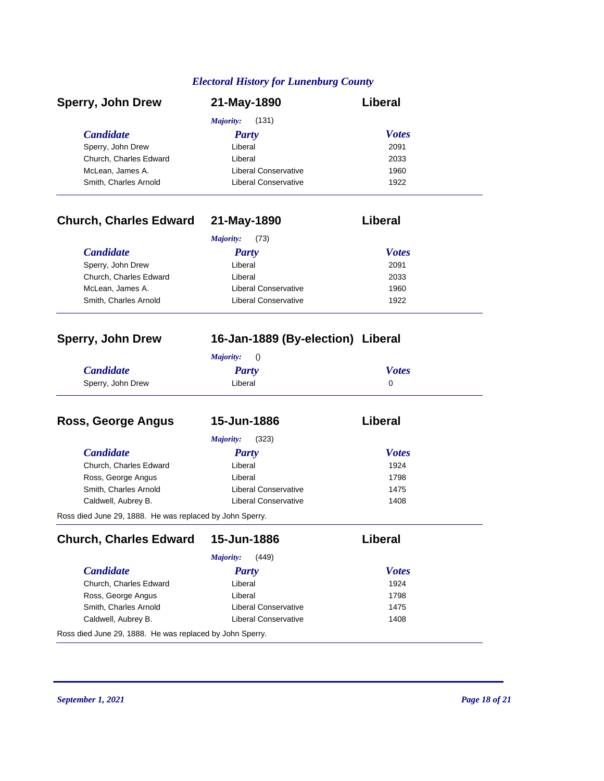| <b>Sperry, John Drew</b> | 21-May-1890          | Liberal      |  |
|--------------------------|----------------------|--------------|--|
|                          | (131)<br>Majority:   |              |  |
| <b>Candidate</b>         | <b>Party</b>         | <b>Votes</b> |  |
| Sperry, John Drew        | Liberal              | 2091         |  |
| Church, Charles Edward   | Liberal              | 2033         |  |
| McLean, James A.         | Liberal Conservative | 1960         |  |
| Smith, Charles Arnold    | Liberal Conservative | 1922         |  |

# **Church, Charles Edward 21-May-1890 Liberal**

|                        | (73)<br>Majority:    |              |
|------------------------|----------------------|--------------|
| <i>Candidate</i>       | Party                | <b>Votes</b> |
| Sperry, John Drew      | Liberal              | 2091         |
| Church, Charles Edward | Liberal              | 2033         |
| McLean, James A.       | Liberal Conservative | 1960         |
| Smith, Charles Arnold  | Liberal Conservative | 1922         |

### **Sperry, John Drew 16-Jan-1889 (By-election) Liberal**

|                   | Majority: |              |
|-------------------|-----------|--------------|
| <b>Candidate</b>  | Party     | <b>Votes</b> |
| Sperry, John Drew | Liberal   |              |

| Ross, George Angus                                       | 15-Jun-1886                 | Liberal      |
|----------------------------------------------------------|-----------------------------|--------------|
|                                                          | (323)<br>Majority:          |              |
| <b>Candidate</b>                                         | <b>Party</b>                | <b>Votes</b> |
| Church, Charles Edward                                   | Liberal                     | 1924         |
| Ross, George Angus                                       | Liberal                     | 1798         |
| Smith, Charles Arnold                                    | <b>Liberal Conservative</b> | 1475         |
| Caldwell, Aubrey B.                                      | <b>Liberal Conservative</b> | 1408         |
| Ross died June 29, 1888. He was replaced by John Sperry. |                             |              |

*Candidate Party Votes* **Church, Charles Edward 15-Jun-1886 Liberal** *Majority:* (449) Church, Charles Edward Liberal Liberal 1924 Ross, George Angus **Constant Constant Constant Constant Constant Constant Constant Constant Constant Constant Constant Constant Constant Constant Constant Constant Constant Constant Constant Constant Constant Constant Cons** Smith, Charles Arnold **Liberal Conservative** 1475 Caldwell, Aubrey B. Caldwell, Aubrey B. Caldwell, Aubrey B. Caldwell, Aubrey B. Caldwell, Australian Conservative Ross died June 29, 1888. He was replaced by John Sperry.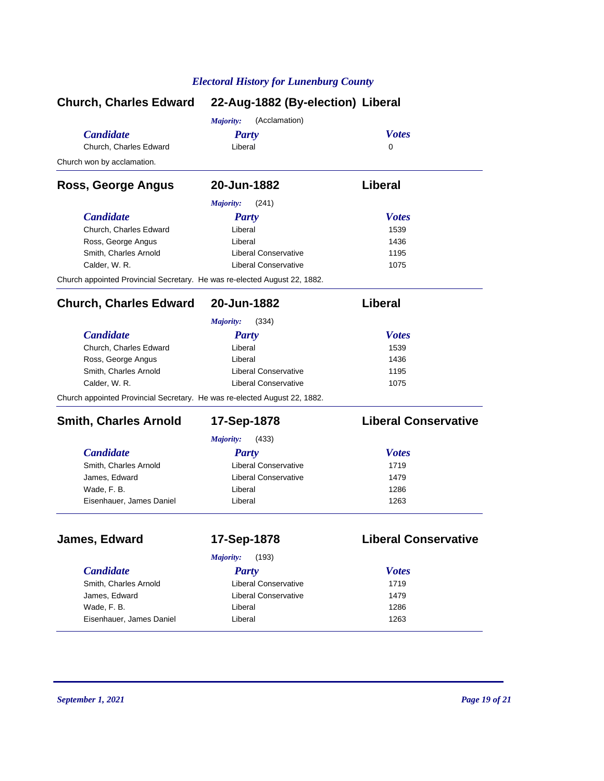|                                                                           | Church, Charles Edward 22-Aug-1882 (By-election) Liberal |                             |  |
|---------------------------------------------------------------------------|----------------------------------------------------------|-----------------------------|--|
|                                                                           | (Acclamation)<br>Majority:                               |                             |  |
| <b>Candidate</b>                                                          | <b>Party</b>                                             | <b>Votes</b>                |  |
| Church, Charles Edward                                                    | Liberal                                                  | $\Omega$                    |  |
| Church won by acclamation.                                                |                                                          |                             |  |
| Ross, George Angus                                                        | 20-Jun-1882                                              | Liberal                     |  |
|                                                                           | <b>Majority:</b><br>(241)                                |                             |  |
| <b>Candidate</b>                                                          | <b>Party</b>                                             | <b>Votes</b>                |  |
| Church, Charles Edward                                                    | Liberal                                                  | 1539                        |  |
| Ross, George Angus                                                        | Liberal                                                  | 1436                        |  |
| Smith, Charles Arnold                                                     | <b>Liberal Conservative</b>                              | 1195                        |  |
| Calder, W. R.                                                             | <b>Liberal Conservative</b>                              | 1075                        |  |
| Church appointed Provincial Secretary. He was re-elected August 22, 1882. |                                                          |                             |  |
| <b>Church, Charles Edward</b>                                             | 20-Jun-1882                                              | Liberal                     |  |
|                                                                           | (334)<br><b>Majority:</b>                                |                             |  |
| <b>Candidate</b>                                                          | <b>Party</b>                                             | <b>Votes</b>                |  |
| Church, Charles Edward                                                    | Liberal                                                  | 1539                        |  |
| Ross, George Angus                                                        | Liberal                                                  | 1436                        |  |
| Smith, Charles Arnold                                                     | <b>Liberal Conservative</b>                              | 1195                        |  |
| Calder, W. R.                                                             | <b>Liberal Conservative</b>                              | 1075                        |  |
| Church appointed Provincial Secretary. He was re-elected August 22, 1882. |                                                          |                             |  |
| <b>Smith, Charles Arnold</b>                                              | 17-Sep-1878                                              | <b>Liberal Conservative</b> |  |
|                                                                           | Majority:<br>(433)                                       |                             |  |
| <b>Candidate</b>                                                          | <b>Party</b>                                             | <b>Votes</b>                |  |
| Smith, Charles Arnold                                                     | <b>Liberal Conservative</b>                              | 1719                        |  |
| James, Edward                                                             | <b>Liberal Conservative</b>                              | 1479                        |  |
| Wade, F. B.                                                               | Liberal                                                  | 1286                        |  |
| Eisenhauer, James Daniel                                                  | Liberal                                                  | 1263                        |  |
|                                                                           |                                                          |                             |  |
| James, Edward                                                             | 17-Sep-1878                                              | <b>Liberal Conservative</b> |  |
|                                                                           | (193)<br>Majority:                                       |                             |  |
| <b>Candidate</b>                                                          | <b>Party</b>                                             | <b>Votes</b>                |  |
| Smith, Charles Arnold                                                     | Liberal Conservative                                     | 1719                        |  |
| James, Edward                                                             | <b>Liberal Conservative</b>                              | 1479                        |  |
| Wade, F. B.                                                               | Liberal                                                  | 1286                        |  |
| Eisenhauer, James Daniel                                                  | Liberal                                                  | 1263                        |  |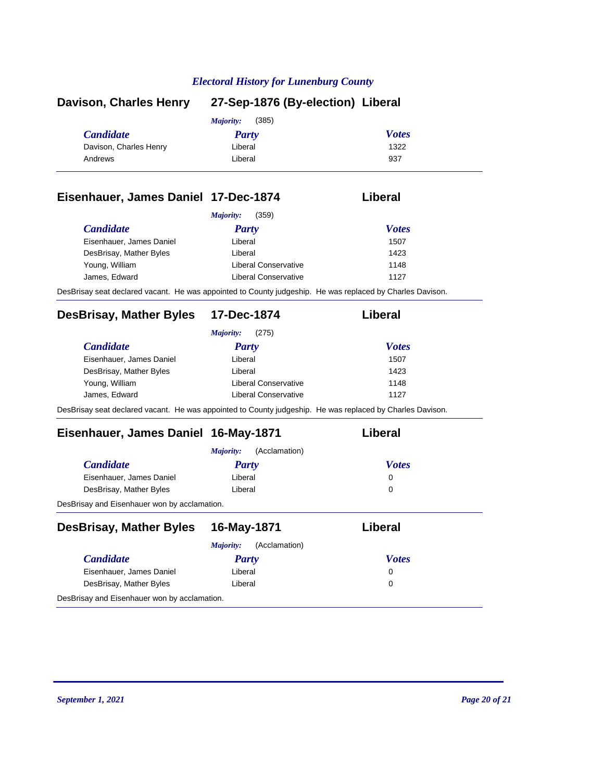| Davison, Charles Henry | 27-Sep-1876 (By-election) Liberal |              |  |
|------------------------|-----------------------------------|--------------|--|
|                        | (385)<br><i>Majority:</i>         |              |  |
| <i>Candidate</i>       | <b>Party</b>                      | <b>Votes</b> |  |
| Davison, Charles Henry | Liberal                           | 1322         |  |
| Andrews                | Liberal                           | 937          |  |
|                        |                                   |              |  |

### **Eisenhauer, James Daniel 17-Dec-1874 Liberal**

| <b>Candidate</b>         | Party                | <b>Votes</b> |
|--------------------------|----------------------|--------------|
| Eisenhauer, James Daniel | Liberal              | 1507         |
| DesBrisay, Mather Byles  | Liberal              | 1423         |
| Young, William           | Liberal Conservative | 1148         |
| James, Edward            | Liberal Conservative | 1127         |

# **DesBrisay, Mather Byles 17-Dec-1874 Liberal**

|                          | (275)<br>Majority:                                                                                        |              |
|--------------------------|-----------------------------------------------------------------------------------------------------------|--------------|
| <b>Candidate</b>         | <b>Party</b>                                                                                              | <b>Votes</b> |
| Eisenhauer, James Daniel | Liberal                                                                                                   | 1507         |
| DesBrisay, Mather Byles  | Liberal                                                                                                   | 1423         |
| Young, William           | Liberal Conservative                                                                                      | 1148         |
| James, Edward            | Liberal Conservative                                                                                      | 1127         |
|                          | DesBrisay seat declared vacant. He was appointed to County judgeship. He was replaced by Charles Davison. |              |

# **Eisenhauer, James Daniel 16-May-1871 Liberal**

| Liberal | 0     |              |
|---------|-------|--------------|
| Liberal | 0     |              |
|         | Party | <b>Votes</b> |

| <b>DesBrisay, Mather Byles</b>               | 16-May-1871                | Liberal      |
|----------------------------------------------|----------------------------|--------------|
|                                              | (Acclamation)<br>Majority: |              |
| <b>Candidate</b>                             | Party                      | <b>Votes</b> |
| Eisenhauer, James Daniel                     | Liberal                    | 0            |
| DesBrisay, Mather Byles                      | Liberal                    | 0            |
| DesBrisay and Eisenhauer won by acclamation. |                            |              |